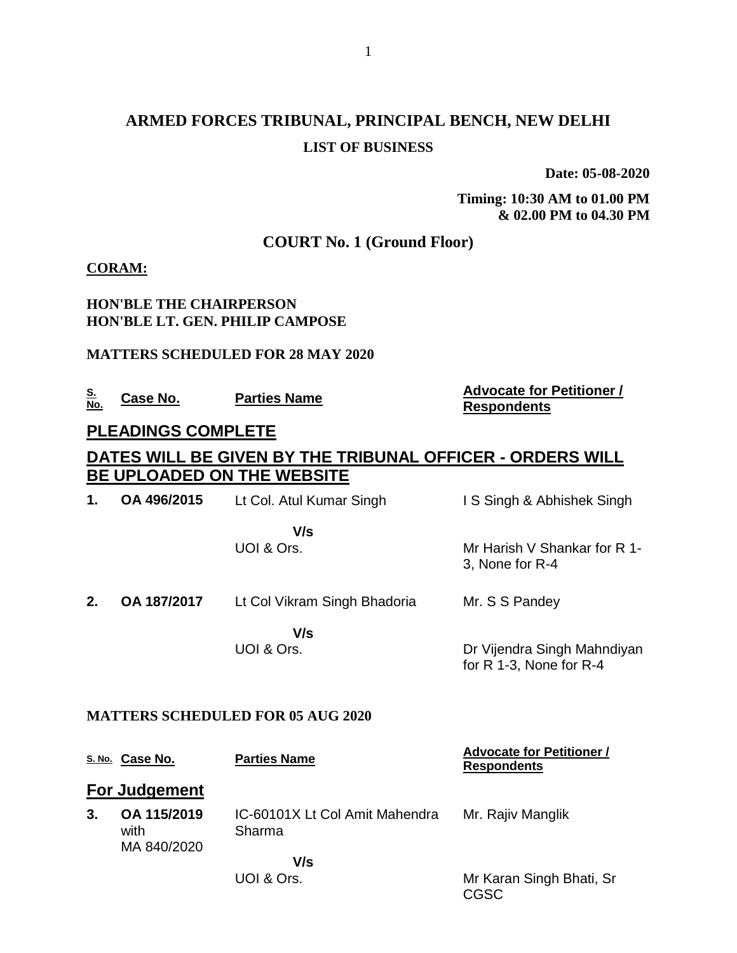# **ARMED FORCES TRIBUNAL, PRINCIPAL BENCH, NEW DELHI LIST OF BUSINESS**

**Date: 05-08-2020**

**Timing: 10:30 AM to 01.00 PM & 02.00 PM to 04.30 PM**

## **COURT No. 1 (Ground Floor)**

### **CORAM:**

### **HON'BLE THE CHAIRPERSON HON'BLE LT. GEN. PHILIP CAMPOSE**

### **MATTERS SCHEDULED FOR 28 MAY 2020**

| NΩ | Case No. | <b>Parties Name</b> |
|----|----------|---------------------|
|    |          |                     |

### **No. Case No. Parties Name Advocate for Petitioner / Respondents**

## **PLEADINGS COMPLETE**

# **DATES WILL BE GIVEN BY THE TRIBUNAL OFFICER - ORDERS WILL BE UPLOADED ON THE WEBSITE**

| 1. | OA 496/2015 | Lt Col. Atul Kumar Singh     | IS Singh & Abhishek Singh                                  |
|----|-------------|------------------------------|------------------------------------------------------------|
|    |             | V/s<br>UOI & Ors.            | Mr Harish V Shankar for R 1-<br>3, None for R-4            |
| 2. | OA 187/2017 | Lt Col Vikram Singh Bhadoria | Mr. S S Pandey                                             |
|    |             | V/s<br>UOI & Ors.            | Dr Vijendra Singh Mahndiyan<br>for $R$ 1-3, None for $R-4$ |

### **MATTERS SCHEDULED FOR 05 AUG 2020**

|    | S. No. Case No.                    | <b>Parties Name</b>                      | <b>Advocate for Petitioner /</b><br><b>Respondents</b> |
|----|------------------------------------|------------------------------------------|--------------------------------------------------------|
|    | <b>For Judgement</b>               |                                          |                                                        |
| 3. | OA 115/2019<br>with<br>MA 840/2020 | IC-60101X Lt Col Amit Mahendra<br>Sharma | Mr. Rajiv Manglik                                      |
|    |                                    | V/s                                      |                                                        |
|    |                                    | UOI & Ors.                               | Mr Karan Singh Bhati, Sr<br>CGSC                       |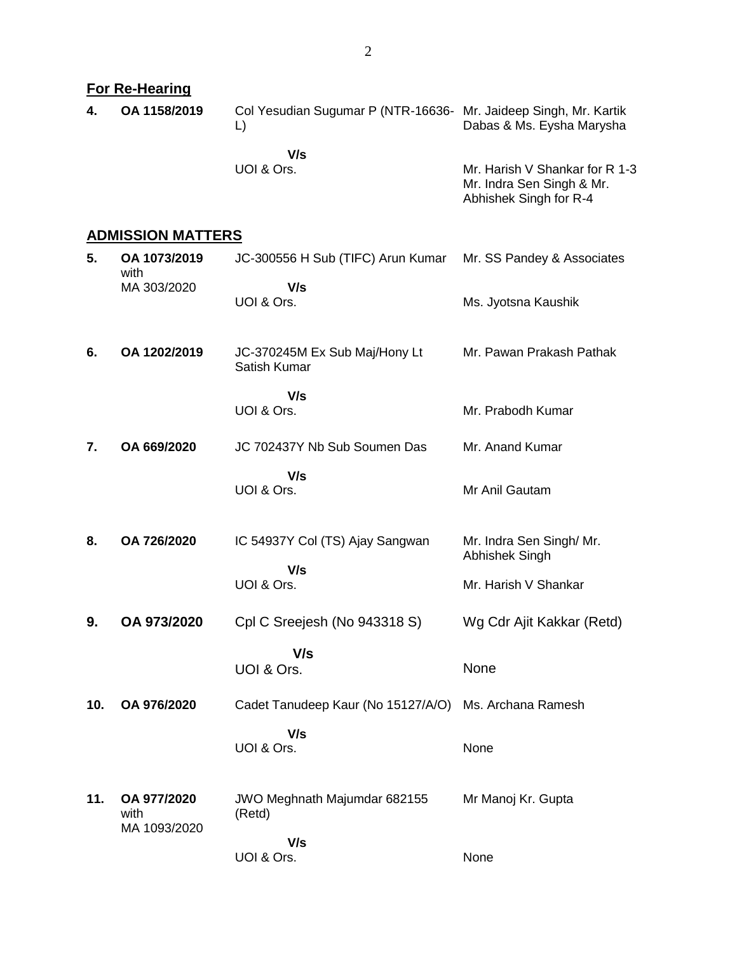|     | <b>For Re-Hearing</b>               |                                                                                  |                                                                                       |
|-----|-------------------------------------|----------------------------------------------------------------------------------|---------------------------------------------------------------------------------------|
| 4.  | OA 1158/2019                        | Col Yesudian Sugumar P (NTR-16636- Mr. Jaideep Singh, Mr. Kartik<br>$\mathsf{L}$ | Dabas & Ms. Eysha Marysha                                                             |
|     |                                     | V/s<br>UOI & Ors.                                                                | Mr. Harish V Shankar for R 1-3<br>Mr. Indra Sen Singh & Mr.<br>Abhishek Singh for R-4 |
|     | <b>ADMISSION MATTERS</b>            |                                                                                  |                                                                                       |
| 5.  | OA 1073/2019<br>with                | JC-300556 H Sub (TIFC) Arun Kumar                                                | Mr. SS Pandey & Associates                                                            |
|     | MA 303/2020                         | V/s<br>UOI & Ors.                                                                | Ms. Jyotsna Kaushik                                                                   |
| 6.  | OA 1202/2019                        | JC-370245M Ex Sub Maj/Hony Lt<br>Satish Kumar                                    | Mr. Pawan Prakash Pathak                                                              |
|     |                                     | V/s<br>UOI & Ors.                                                                | Mr. Prabodh Kumar                                                                     |
| 7.  | OA 669/2020                         | JC 702437Y Nb Sub Soumen Das                                                     | Mr. Anand Kumar                                                                       |
|     |                                     | V/s<br>UOI & Ors.                                                                | Mr Anil Gautam                                                                        |
| 8.  | OA 726/2020                         | IC 54937Y Col (TS) Ajay Sangwan                                                  | Mr. Indra Sen Singh/ Mr.<br>Abhishek Singh                                            |
|     |                                     | V/s<br>UOI & Ors.                                                                | Mr. Harish V Shankar                                                                  |
| 9.  | OA 973/2020                         | Cpl C Sreejesh (No 943318 S)                                                     | Wg Cdr Ajit Kakkar (Retd)                                                             |
|     |                                     | V/s<br>UOI & Ors.                                                                | None                                                                                  |
| 10. | OA 976/2020                         | Cadet Tanudeep Kaur (No 15127/A/O) Ms. Archana Ramesh                            |                                                                                       |
|     |                                     | V/s<br>UOI & Ors.                                                                | None                                                                                  |
| 11. | OA 977/2020<br>with<br>MA 1093/2020 | JWO Meghnath Majumdar 682155<br>(Retd)                                           | Mr Manoj Kr. Gupta                                                                    |
|     |                                     | V/s<br>UOI & Ors.                                                                | None                                                                                  |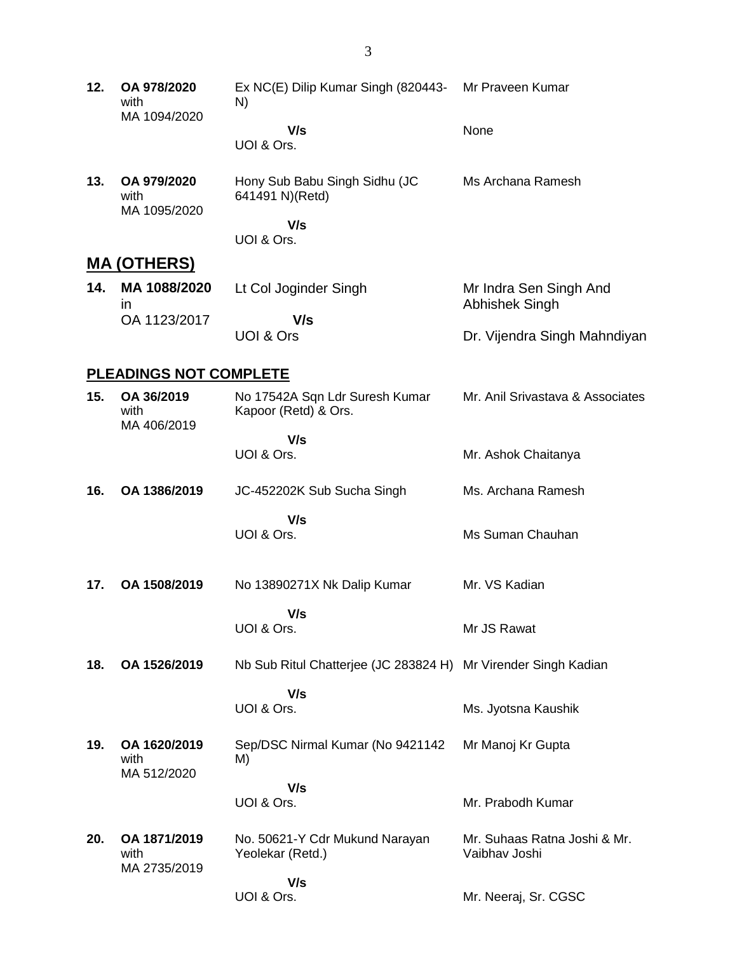**12. OA 978/2020** with MA 1094/2020 Ex NC(E) Dilip Kumar Singh (820443- N)  **V/s** UOI & Ors. Mr Praveen Kumar None **13. OA 979/2020** with MA 1095/2020 Hony Sub Babu Singh Sidhu (JC 641491 N)(Retd)  **V/s** UOI & Ors. Ms Archana Ramesh **MA (OTHERS) 14. MA 1088/2020** in OA 1123/2017 Lt Col Joginder Singh  **V/s** UOI & Ors Mr Indra Sen Singh And Abhishek Singh Dr. Vijendra Singh Mahndiyan **PLEADINGS NOT COMPLETE**

#### **15. OA 36/2019** with MA 406/2019 No 17542A Sqn Ldr Suresh Kumar Kapoor (Retd) & Ors.  **V/s** UOI & Ors. Mr. Anil Srivastava & Associates Mr. Ashok Chaitanya **16. OA 1386/2019** JC-452202K Sub Sucha Singh  **V/s** UOI & Ors. Ms. Archana Ramesh Ms Suman Chauhan **17. OA 1508/2019** No 13890271X Nk Dalip Kumar Mr. VS Kadian

- **V/s** UOI & Ors. Mr JS Rawat
- **18. OA 1526/2019** Nb Sub Ritul Chatterjee (JC 283824 H) Mr Virender Singh Kadian  **V/s** UOI & Ors.

Ms. Jyotsna Kaushik

- **19. OA 1620/2019** with MA 512/2020 Sep/DSC Nirmal Kumar (No 9421142 M)  **V/s** Mr Manoj Kr Gupta
- UOI & Ors. Mr. Prabodh Kumar **20. OA 1871/2019** with MA 2735/2019 No. 50621-Y Cdr Mukund Narayan Yeolekar (Retd.)  **V/s** UOI & Ors. Mr. Suhaas Ratna Joshi & Mr. Vaibhav Joshi Mr. Neeraj, Sr. CGSC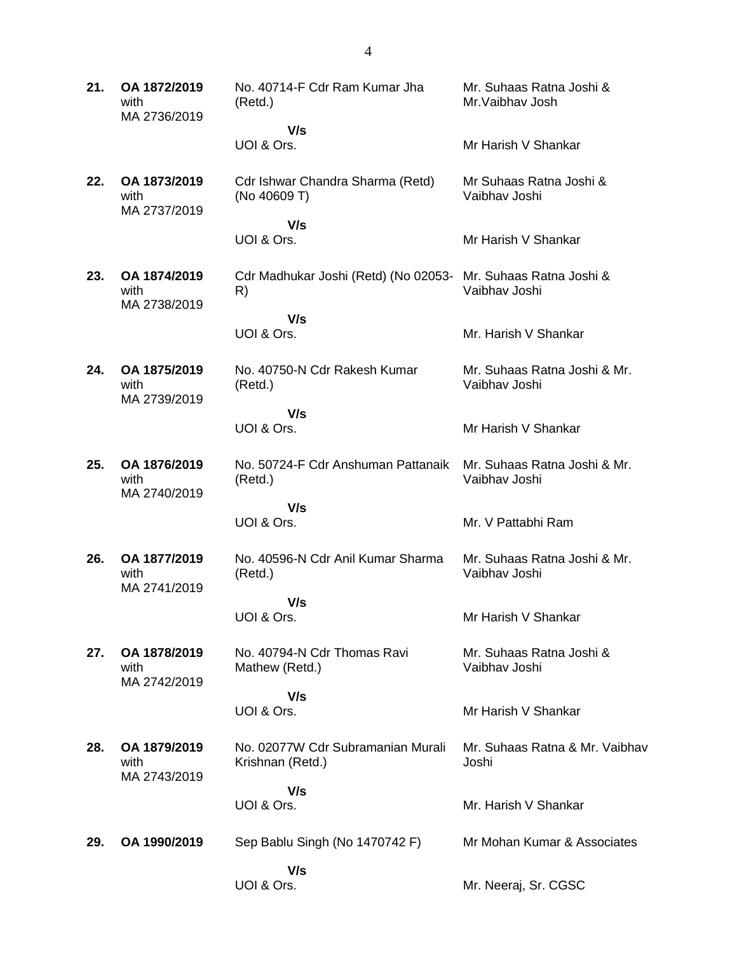| 21. | OA 1872/2019<br>with<br>MA 2736/2019 | No. 40714-F Cdr Ram Kumar Jha<br>(Retd.)              | Mr. Suhaas Ratna Joshi &<br>Mr. Vaibhav Josh  |
|-----|--------------------------------------|-------------------------------------------------------|-----------------------------------------------|
|     |                                      | V/s                                                   |                                               |
|     |                                      | UOI & Ors.                                            | Mr Harish V Shankar                           |
| 22. | OA 1873/2019<br>with<br>MA 2737/2019 | Cdr Ishwar Chandra Sharma (Retd)<br>(No 40609 T)      | Mr Suhaas Ratna Joshi &<br>Vaibhav Joshi      |
|     |                                      | V/s<br>UOI & Ors.                                     | Mr Harish V Shankar                           |
| 23. | OA 1874/2019<br>with<br>MA 2738/2019 | Cdr Madhukar Joshi (Retd) (No 02053-<br>R)            | Mr. Suhaas Ratna Joshi &<br>Vaibhav Joshi     |
|     |                                      | V/s                                                   |                                               |
|     |                                      | UOI & Ors.                                            | Mr. Harish V Shankar                          |
| 24. | OA 1875/2019<br>with<br>MA 2739/2019 | No. 40750-N Cdr Rakesh Kumar<br>(Retd.)               | Mr. Suhaas Ratna Joshi & Mr.<br>Vaibhav Joshi |
|     |                                      | V/s                                                   |                                               |
|     |                                      | UOI & Ors.                                            | Mr Harish V Shankar                           |
| 25. | OA 1876/2019<br>with<br>MA 2740/2019 | No. 50724-F Cdr Anshuman Pattanaik<br>(Retd.)         | Mr. Suhaas Ratna Joshi & Mr.<br>Vaibhay Joshi |
|     |                                      | V/s                                                   |                                               |
|     |                                      | UOI & Ors.                                            | Mr. V Pattabhi Ram                            |
| 26. | OA 1877/2019<br>with<br>MA 2741/2019 | No. 40596-N Cdr Anil Kumar Sharma<br>(Retd.)          | Mr. Suhaas Ratna Joshi & Mr.<br>Vaibhav Joshi |
|     |                                      | V/s                                                   |                                               |
|     |                                      | UOI & Ors.                                            | Mr Harish V Shankar                           |
| 27. | OA 1878/2019<br>with<br>MA 2742/2019 | No. 40794-N Cdr Thomas Ravi<br>Mathew (Retd.)         | Mr. Suhaas Ratna Joshi &<br>Vaibhav Joshi     |
|     |                                      | V/s                                                   |                                               |
|     |                                      | UOI & Ors.                                            | Mr Harish V Shankar                           |
| 28. | OA 1879/2019<br>with<br>MA 2743/2019 | No. 02077W Cdr Subramanian Murali<br>Krishnan (Retd.) | Mr. Suhaas Ratna & Mr. Vaibhav<br>Joshi       |
|     |                                      | V/s                                                   |                                               |
|     |                                      | UOI & Ors.                                            | Mr. Harish V Shankar                          |
| 29. | OA 1990/2019                         | Sep Bablu Singh (No 1470742 F)                        | Mr Mohan Kumar & Associates                   |
|     |                                      | V/s<br>UOI & Ors.                                     | Mr. Neeraj, Sr. CGSC                          |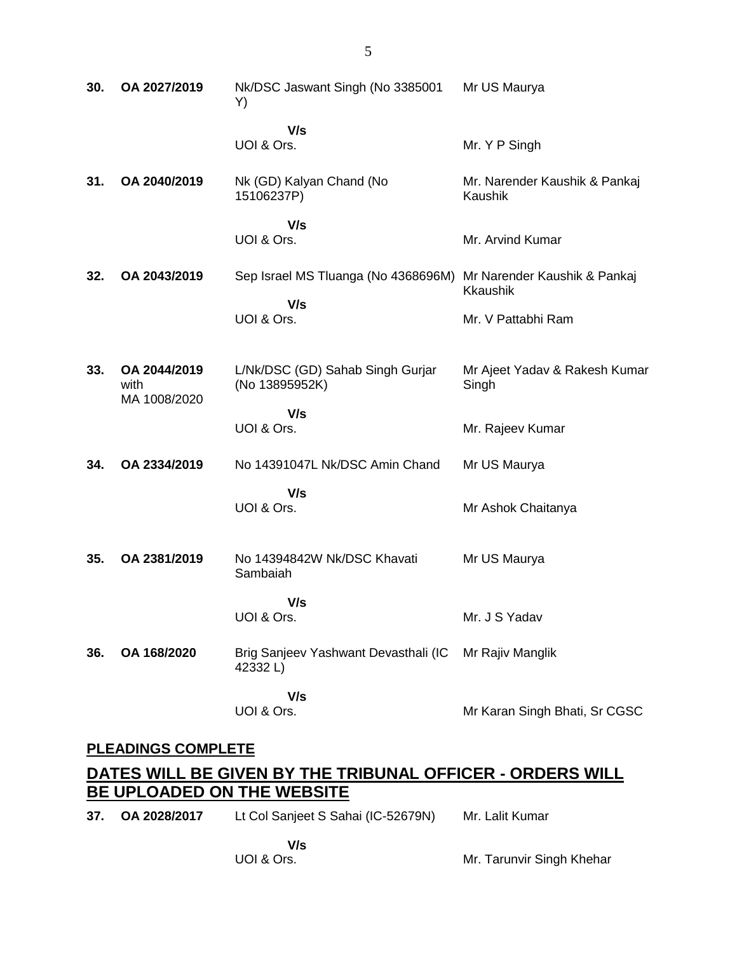| 30.                 | OA 2027/2019                         | Nk/DSC Jaswant Singh (No 3385001<br>Y)             | Mr US Maurya                                    |
|---------------------|--------------------------------------|----------------------------------------------------|-------------------------------------------------|
|                     |                                      | V/s<br>UOI & Ors.                                  | Mr. Y P Singh                                   |
| 31.                 | OA 2040/2019                         | Nk (GD) Kalyan Chand (No<br>15106237P)             | Mr. Narender Kaushik & Pankaj<br>Kaushik        |
|                     |                                      | V/s<br>UOI & Ors.                                  | Mr. Arvind Kumar                                |
| 32.                 | OA 2043/2019                         | Sep Israel MS Tluanga (No 4368696M)                | Mr Narender Kaushik & Pankaj<br><b>Kkaushik</b> |
|                     |                                      | V/s<br>UOI & Ors.                                  | Mr. V Pattabhi Ram                              |
| 33.                 | OA 2044/2019<br>with<br>MA 1008/2020 | L/Nk/DSC (GD) Sahab Singh Gurjar<br>(No 13895952K) | Mr Ajeet Yadav & Rakesh Kumar<br>Singh          |
|                     |                                      | V/s<br>UOI & Ors.                                  | Mr. Rajeev Kumar                                |
| 34.                 | OA 2334/2019                         | No 14391047L Nk/DSC Amin Chand                     | Mr US Maurya                                    |
|                     |                                      | V/s<br>UOI & Ors.                                  | Mr Ashok Chaitanya                              |
| 35.                 | OA 2381/2019                         | No 14394842W Nk/DSC Khavati<br>Sambaiah            | Mr US Maurya                                    |
|                     |                                      | V/s<br>UOI & Ors.                                  | Mr. J S Yadav                                   |
| 36.                 | OA 168/2020                          | Brig Sanjeev Yashwant Devasthali (IC<br>42332L)    | Mr Rajiv Manglik                                |
|                     |                                      | V/s<br>UOI & Ors.                                  | Mr Karan Singh Bhati, Sr CGSC                   |
| DI EADINGO COMPLETE |                                      |                                                    |                                                 |

#### **PLEADINGS COMPLETE**

# **DATES WILL BE GIVEN BY THE TRIBUNAL OFFICER - ORDERS WILL BE UPLOADED ON THE WEBSITE**

| 37. OA 2028/2017 | Lt Col Sanjeet S Sahai (IC-52679N) | Mr. Lalit Kumar |  |
|------------------|------------------------------------|-----------------|--|
|                  | V/s                                |                 |  |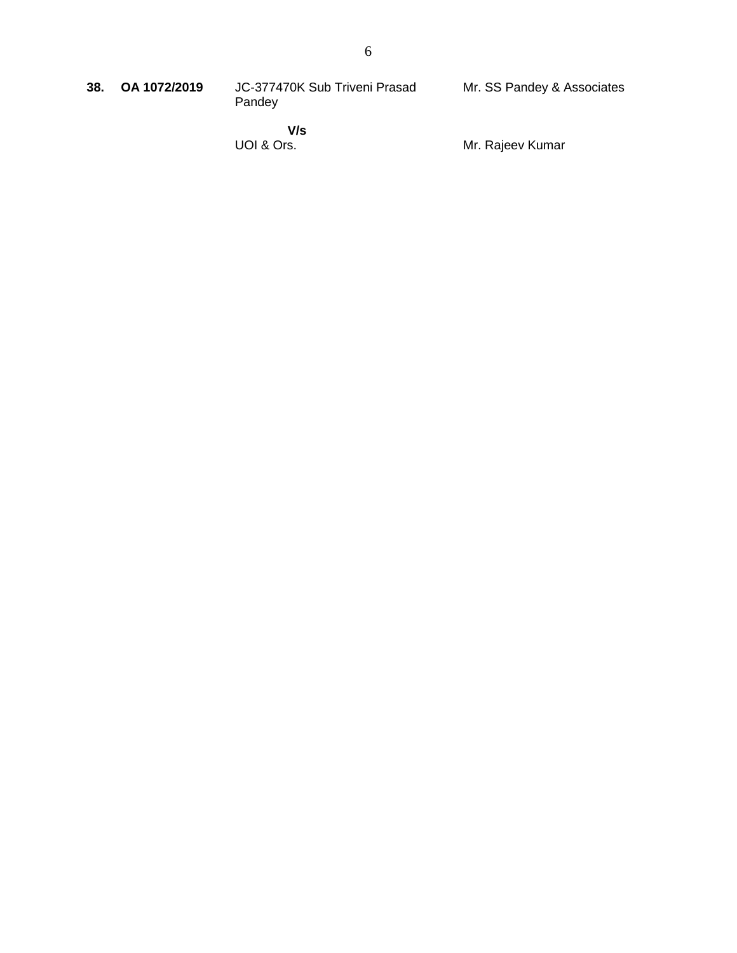| 38. OA 1072/2019 | JC-377470K Sub Triveni Prasad | Mr. SS Pandey & Associates |
|------------------|-------------------------------|----------------------------|
|                  | Pandev                        |                            |
|                  |                               |                            |

 **V/s** UOI & Ors.

Mr. Rajeev Kumar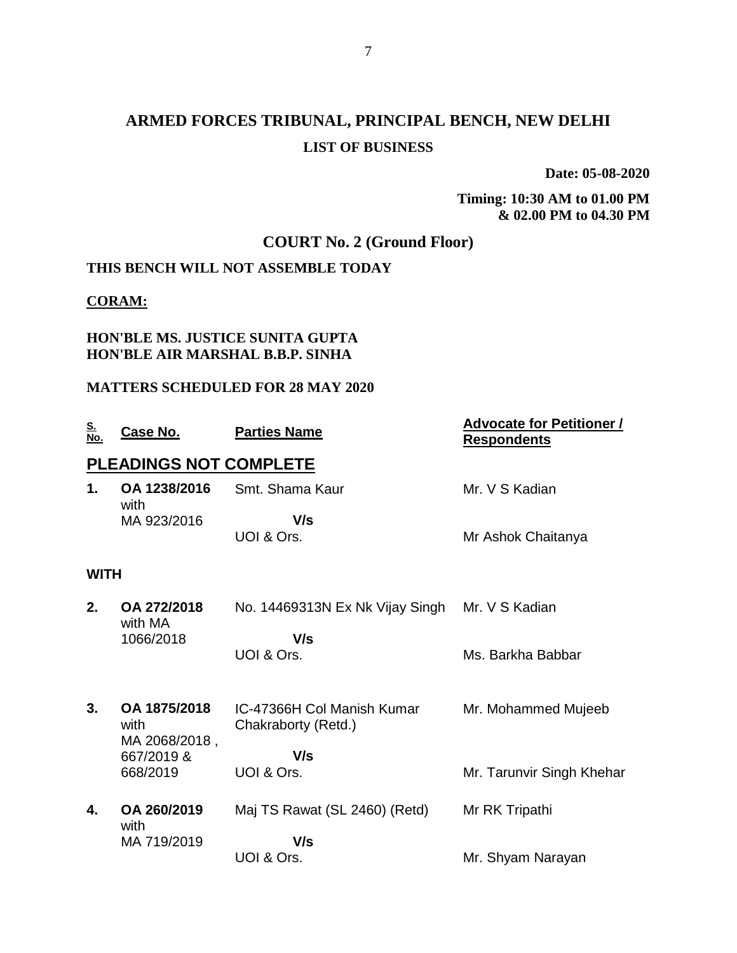# **ARMED FORCES TRIBUNAL, PRINCIPAL BENCH, NEW DELHI LIST OF BUSINESS**

**Date: 05-08-2020**

**Timing: 10:30 AM to 01.00 PM & 02.00 PM to 04.30 PM**

# **COURT No. 2 (Ground Floor)**

# **THIS BENCH WILL NOT ASSEMBLE TODAY**

## **CORAM:**

### **HON'BLE MS. JUSTICE SUNITA GUPTA HON'BLE AIR MARSHAL B.B.P. SINHA**

## **MATTERS SCHEDULED FOR 28 MAY 2020**

| <u>S.</u><br>No. | Case No.               | <b>Parties Name</b>                               | <b>Advocate for Petitioner /</b><br><b>Respondents</b> |
|------------------|------------------------|---------------------------------------------------|--------------------------------------------------------|
|                  | PLEADINGS NOT COMPLETE |                                                   |                                                        |
| 1.               | OA 1238/2016<br>with   | Smt. Shama Kaur                                   | Mr. V S Kadian                                         |
|                  | MA 923/2016            | V/s                                               |                                                        |
|                  |                        | UOI & Ors.                                        | Mr Ashok Chaitanya                                     |
| <b>WITH</b>      |                        |                                                   |                                                        |
| 2.               | OA 272/2018<br>with MA | No. 14469313N Ex Nk Vijay Singh                   | Mr. V S Kadian                                         |
|                  | 1066/2018              | V/s                                               |                                                        |
|                  |                        | UOI & Ors.                                        | Ms. Barkha Babbar                                      |
|                  |                        |                                                   |                                                        |
| 3.               | OA 1875/2018<br>with   | IC-47366H Col Manish Kumar<br>Chakraborty (Retd.) | Mr. Mohammed Mujeeb                                    |
|                  | MA 2068/2018,          | V/s                                               |                                                        |
|                  | 667/2019 &<br>668/2019 | UOI & Ors.                                        | Mr. Tarunvir Singh Khehar                              |
|                  |                        |                                                   |                                                        |
| 4.               | OA 260/2019            | Maj TS Rawat (SL 2460) (Retd)                     | Mr RK Tripathi                                         |
|                  | with<br>MA 719/2019    | V/s                                               |                                                        |
|                  |                        | UOI & Ors.                                        | Mr. Shyam Narayan                                      |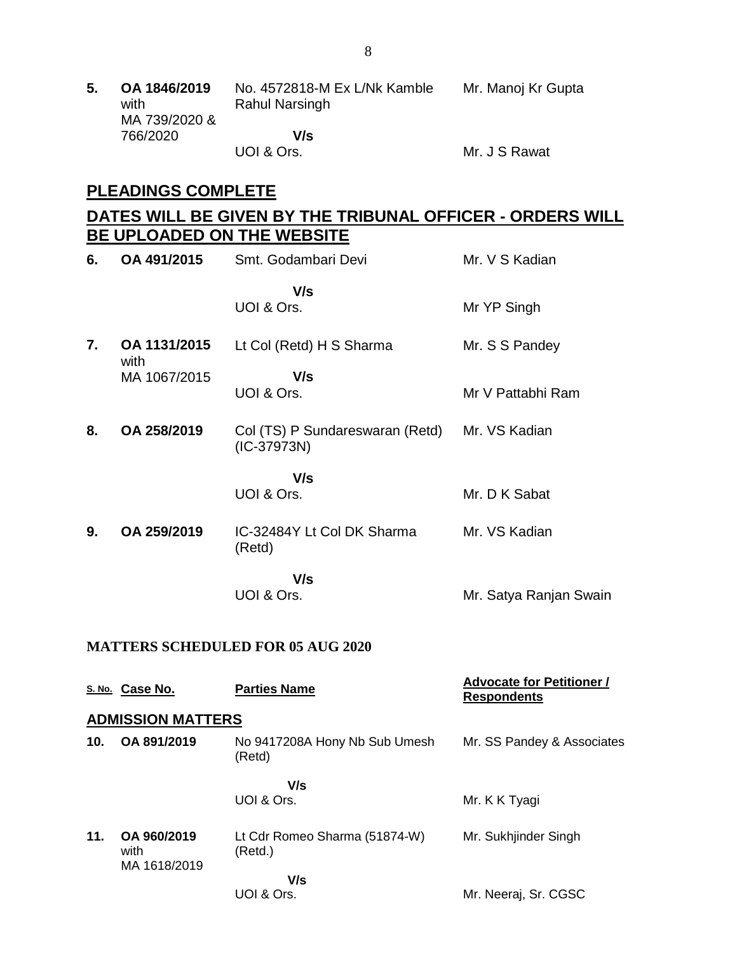| 5. | OA 1846/2019<br>with<br>MA 739/2020 & | No. 4572818-M Ex L/Nk Kamble<br><b>Rahul Narsingh</b> | Mr. Manoj Kr Gupta |
|----|---------------------------------------|-------------------------------------------------------|--------------------|
|    | 766/2020                              | V/s                                                   |                    |
|    |                                       | UOI & Ors.                                            | Mr. J S Rawat      |

# **PLEADINGS COMPLETE**

# **DATES WILL BE GIVEN BY THE TRIBUNAL OFFICER - ORDERS WILL BE UPLOADED ON THE WEBSITE**

| 6. | OA 491/2015          | Smt. Godambari Devi                              | Mr. V S Kadian         |
|----|----------------------|--------------------------------------------------|------------------------|
|    |                      | V/s<br>UOI & Ors.                                | Mr YP Singh            |
| 7. | OA 1131/2015         | Lt Col (Retd) H S Sharma                         | Mr. S S Pandey         |
|    | with<br>MA 1067/2015 | V/s<br>UOI & Ors.                                | Mr V Pattabhi Ram      |
| 8. | OA 258/2019          | Col (TS) P Sundareswaran (Retd)<br>$(IC-37973N)$ | Mr. VS Kadian          |
|    |                      | V/s<br>UOI & Ors.                                | Mr. D K Sabat          |
| 9. | OA 259/2019          | IC-32484Y Lt Col DK Sharma<br>(Retd)             | Mr. VS Kadian          |
|    |                      | V/s<br>UOI & Ors.                                | Mr. Satya Ranjan Swain |

#### **MATTERS SCHEDULED FOR 05 AUG 2020**

|     | S. No. Case No.                     | <b>Parties Name</b>                      | <b>Advocate for Petitioner /</b><br><b>Respondents</b> |
|-----|-------------------------------------|------------------------------------------|--------------------------------------------------------|
|     | <b>ADMISSION MATTERS</b>            |                                          |                                                        |
| 10. | OA 891/2019                         | No 9417208A Hony Nb Sub Umesh<br>(Retd)  | Mr. SS Pandey & Associates                             |
|     |                                     | V/s                                      |                                                        |
|     |                                     | UOI & Ors.                               | Mr. K K Tyagi                                          |
| 11. | OA 960/2019<br>with<br>MA 1618/2019 | Lt Cdr Romeo Sharma (51874-W)<br>(Retd.) | Mr. Sukhjinder Singh                                   |
|     |                                     | V/s<br>UOI & Ors.                        | Mr. Neeraj, Sr. CGSC                                   |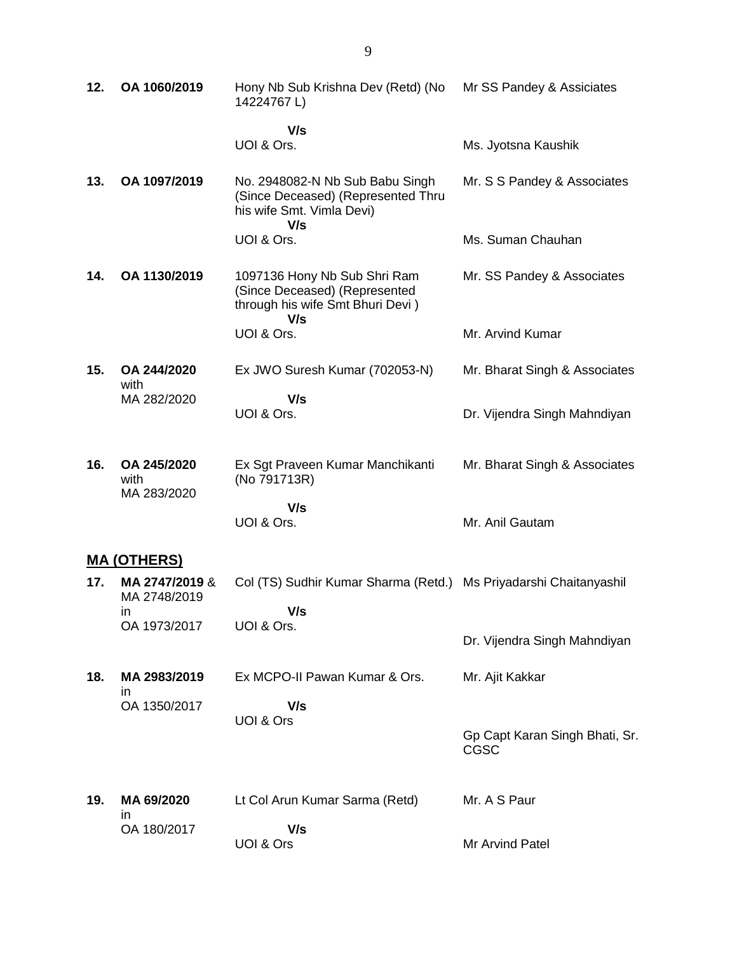| 12. | OA 1060/2019                   | Hony Nb Sub Krishna Dev (Retd) (No<br>14224767L)                                                   | Mr SS Pandey & Assiciates     |
|-----|--------------------------------|----------------------------------------------------------------------------------------------------|-------------------------------|
|     |                                | V/s<br>UOI & Ors.                                                                                  | Ms. Jyotsna Kaushik           |
| 13. | OA 1097/2019                   | No. 2948082-N Nb Sub Babu Singh<br>(Since Deceased) (Represented Thru<br>his wife Smt. Vimla Devi) | Mr. S S Pandey & Associates   |
|     |                                | V/s<br>UOI & Ors.                                                                                  | Ms. Suman Chauhan             |
| 14. | OA 1130/2019                   | 1097136 Hony Nb Sub Shri Ram<br>(Since Deceased) (Represented<br>through his wife Smt Bhuri Devi)  | Mr. SS Pandey & Associates    |
|     |                                | V/s<br>UOI & Ors.                                                                                  | Mr. Arvind Kumar              |
| 15. | OA 244/2020<br>with            | Ex JWO Suresh Kumar (702053-N)                                                                     | Mr. Bharat Singh & Associates |
|     | MA 282/2020                    | V/s<br>UOI & Ors.                                                                                  | Dr. Vijendra Singh Mahndiyan  |
| 16. | OA 245/2020<br>with            | Ex Sgt Praveen Kumar Manchikanti<br>(No 791713R)                                                   | Mr. Bharat Singh & Associates |
|     | MA 283/2020                    | V/s<br>UOI & Ors.                                                                                  | Mr. Anil Gautam               |
|     | <u>MA (OTHERS)</u>             |                                                                                                    |                               |
| 17. | MA 2747/2019 &<br>MA 2748/2019 | Col (TS) Sudhir Kumar Sharma (Retd.) Ms Priyadarshi Chaitanyashil                                  |                               |
|     | $\mathsf{I}$<br>OA 1973/2017   | V/s<br>UOI & Ors.                                                                                  | Dr. Vijendra Singh Mahndiyan  |
| 18. | MA 2983/2019                   | Ex MCPO-II Pawan Kumar & Ors.                                                                      | Mr. Ajit Kakkar               |
|     | ın<br>OA 1350/2017             | V/s<br>UOI & Ors                                                                                   |                               |

**19. MA 69/2020** in OA 180/2017 Lt Col Arun Kumar Sarma (Retd)  **V/s** UOI & Ors Mr. A S Paur Mr Arvind Patel

Gp Capt Karan Singh Bhati, Sr.

CGSC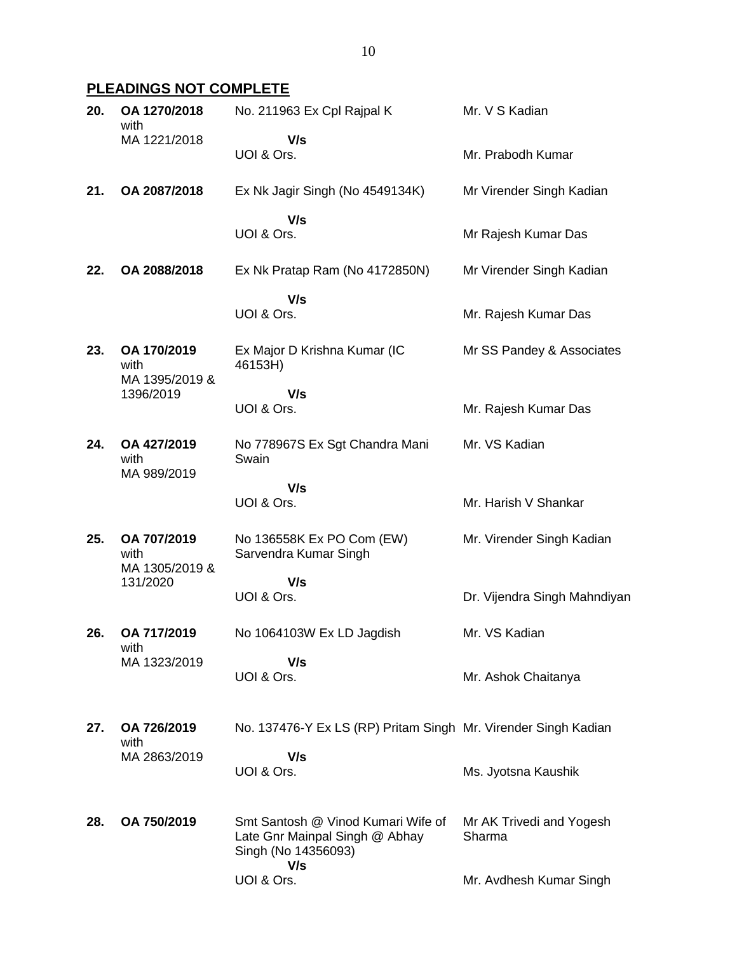# **PLEADINGS NOT COMPLETE**

| 20. | OA 1270/2018<br>with                               | No. 211963 Ex Cpl Rajpal K                                                                  | Mr. V S Kadian                     |
|-----|----------------------------------------------------|---------------------------------------------------------------------------------------------|------------------------------------|
|     | MA 1221/2018                                       | V/s<br>UOI & Ors.                                                                           | Mr. Prabodh Kumar                  |
| 21. | OA 2087/2018                                       | Ex Nk Jagir Singh (No 4549134K)                                                             | Mr Virender Singh Kadian           |
|     |                                                    | V/s<br>UOI & Ors.                                                                           | Mr Rajesh Kumar Das                |
| 22. | OA 2088/2018                                       | Ex Nk Pratap Ram (No 4172850N)                                                              | Mr Virender Singh Kadian           |
|     |                                                    | V/s<br>UOI & Ors.                                                                           | Mr. Rajesh Kumar Das               |
| 23. | OA 170/2019<br>with<br>MA 1395/2019 &<br>1396/2019 | Ex Major D Krishna Kumar (IC<br>46153H)                                                     | Mr SS Pandey & Associates          |
|     |                                                    | V/s<br>UOI & Ors.                                                                           | Mr. Rajesh Kumar Das               |
| 24. | OA 427/2019<br>with<br>MA 989/2019                 | No 778967S Ex Sgt Chandra Mani<br>Swain                                                     | Mr. VS Kadian                      |
|     |                                                    | V/s<br>UOI & Ors.                                                                           | Mr. Harish V Shankar               |
| 25. | OA 707/2019<br>with<br>MA 1305/2019 &              | No 136558K Ex PO Com (EW)<br>Sarvendra Kumar Singh                                          | Mr. Virender Singh Kadian          |
|     | 131/2020                                           | V/s<br>UOI & Ors.                                                                           | Dr. Vijendra Singh Mahndiyan       |
| 26. | OA 717/2019<br>with                                | No 1064103W Ex LD Jagdish                                                                   | Mr. VS Kadian                      |
|     | MA 1323/2019                                       | V/s<br>UOI & Ors.                                                                           | Mr. Ashok Chaitanya                |
| 27. | OA 726/2019<br>with                                | No. 137476-Y Ex LS (RP) Pritam Singh Mr. Virender Singh Kadian                              |                                    |
|     | MA 2863/2019                                       | V/s<br>UOI & Ors.                                                                           | Ms. Jyotsna Kaushik                |
| 28. | OA 750/2019                                        | Smt Santosh @ Vinod Kumari Wife of<br>Late Gnr Mainpal Singh @ Abhay<br>Singh (No 14356093) | Mr AK Trivedi and Yogesh<br>Sharma |
|     |                                                    | V/s<br>UOI & Ors.                                                                           | Mr. Avdhesh Kumar Singh            |
|     |                                                    |                                                                                             |                                    |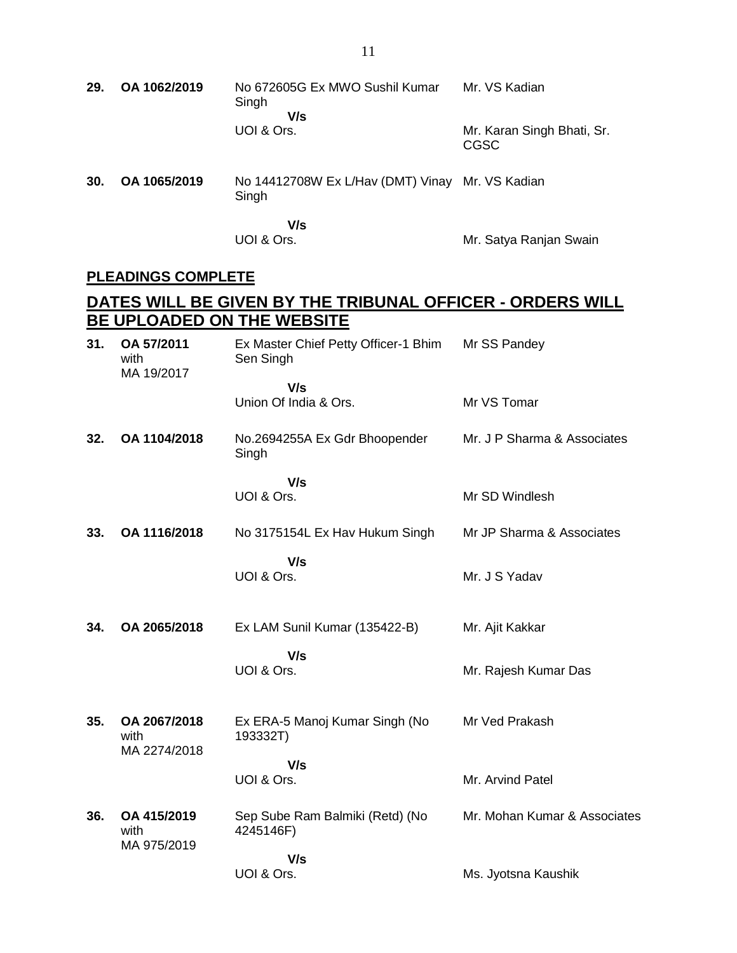| 29. | OA 1062/2019                         | No 672605G Ex MWO Sushil Kumar<br>Singh                                                         | Mr. VS Kadian                             |
|-----|--------------------------------------|-------------------------------------------------------------------------------------------------|-------------------------------------------|
|     |                                      | V/s<br>UOI & Ors.                                                                               | Mr. Karan Singh Bhati, Sr.<br><b>CGSC</b> |
| 30. | OA 1065/2019                         | No 14412708W Ex L/Hav (DMT) Vinay Mr. VS Kadian<br>Singh                                        |                                           |
|     |                                      | V/s<br>UOI & Ors.                                                                               | Mr. Satya Ranjan Swain                    |
|     | <b>PLEADINGS COMPLETE</b>            |                                                                                                 |                                           |
|     |                                      | <u>DATES WILL BE GIVEN BY THE TRIBUNAL OFFICER - ORDERS WILL </u><br>BE UPLOADED ON THE WEBSITE |                                           |
| 31. | OA 57/2011<br>with<br>MA 19/2017     | Ex Master Chief Petty Officer-1 Bhim Mr SS Pandey<br>Sen Singh                                  |                                           |
|     |                                      | V/s<br>Union Of India & Ors.                                                                    | Mr VS Tomar                               |
| 32. | OA 1104/2018                         | No.2694255A Ex Gdr Bhoopender<br>Singh                                                          | Mr. J P Sharma & Associates               |
|     |                                      | V/s<br>UOI & Ors.                                                                               | Mr SD Windlesh                            |
| 33. | OA 1116/2018                         | No 3175154L Ex Hav Hukum Singh                                                                  | Mr JP Sharma & Associates                 |
|     |                                      | V/s<br>UOI & Ors.                                                                               | Mr. J S Yadav                             |
| 34. | OA 2065/2018                         | Ex LAM Sunil Kumar (135422-B)                                                                   | Mr. Ajit Kakkar                           |
|     |                                      | V/s<br>UOI & Ors.                                                                               | Mr. Rajesh Kumar Das                      |
| 35. | OA 2067/2018<br>with<br>MA 2274/2018 | Ex ERA-5 Manoj Kumar Singh (No<br>193332T)                                                      | Mr Ved Prakash                            |
|     |                                      | V/s<br>UOI & Ors.                                                                               | Mr. Arvind Patel                          |
| 36. | OA 415/2019<br>with<br>MA 975/2019   | Sep Sube Ram Balmiki (Retd) (No<br>4245146F)                                                    | Mr. Mohan Kumar & Associates              |
|     |                                      | V/s<br>UOI & Ors.                                                                               | Ms. Jyotsna Kaushik                       |